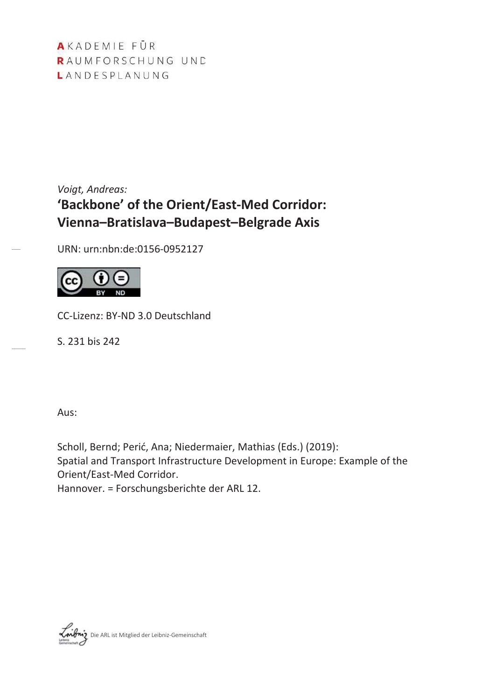AKADEMIE FÜR RAUMFORSCHUNG UND LANDESPLANUNG

# *Voigt, Andreas:* **'Backbone' of the Orient/East-Med Corridor: Vienna–Bratislava–Budapest–Belgrade Axis**

URN: urn:nbn:de:0156-0952127



CC-Lizenz: BY-ND 3.0 Deutschland

S. 231 bis 242

Aus:

Scholl, Bernd; Perić, Ana; Niedermaier, Mathias (Eds.) (2019): Spatial and Transport Infrastructure Development in Europe: Example of the Orient/East-Med Corridor.

Hannover. = Forschungsberichte der ARL 12.

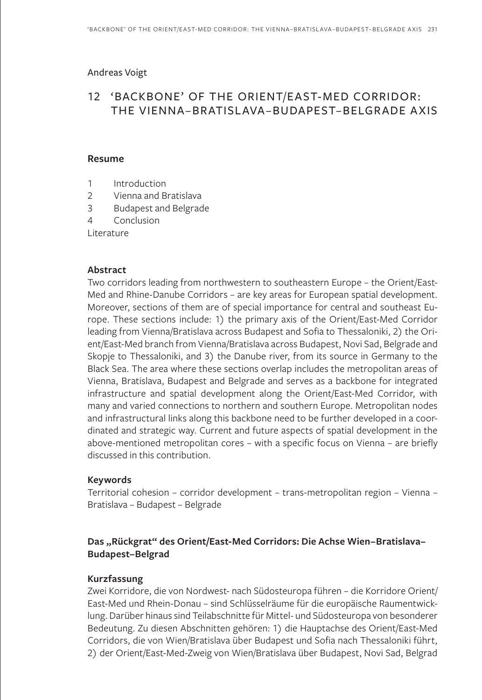#### Andreas Voigt

# 12 'BACKBONE' OF THE ORIENT/EAST-MED CORRIDOR: THE VIENNA–BRATISLAVA–BUDAPEST–BELGRADE AXIS

#### **Resume**

- 1 Introduction
- 2 Vienna and Bratislava
- 3 Budapest and Belgrade
- 4 Conclusion

Literature

#### **Abstract**

Two corridors leading from northwestern to southeastern Europe – the Orient/East-Med and Rhine-Danube Corridors – are key areas for European spatial development. Moreover, sections of them are of special importance for central and southeast Europe. These sections include: 1) the primary axis of the Orient/East-Med Corridor leading from Vienna/Bratislava across Budapest and Sofia to Thessaloniki, 2) the Orient/East-Med branch from Vienna/Bratislava across Budapest, Novi Sad, Belgrade and Skopje to Thessaloniki, and 3) the Danube river, from its source in Germany to the Black Sea. The area where these sections overlap includes the metropolitan areas of Vienna, Bratislava, Budapest and Belgrade and serves as a backbone for integrated infrastructure and spatial development along the Orient/East-Med Corridor, with many and varied connections to northern and southern Europe. Metropolitan nodes and infrastructural links along this backbone need to be further developed in a coordinated and strategic way. Current and future aspects of spatial development in the above-mentioned metropolitan cores – with a specific focus on Vienna – are briefly discussed in this contribution.

#### **Keywords**

Territorial cohesion – corridor development – trans-metropolitan region – Vienna – Bratislava – Budapest – Belgrade

## **Das "Rückgrat" des Orient/East-Med Corridors: Die Achse Wien–Bratislava– Budapest–Belgrad**

#### **Kurzfassung**

Zwei Korridore, die von Nordwest- nach Südosteuropa führen – die Korridore Orient/ East-Med und Rhein-Donau – sind Schlüsselräume für die europäische Raumentwicklung. Darüber hinaus sind Teilabschnitte für Mittel- und Südosteuropa von besonderer Bedeutung. Zu diesen Abschnitten gehören: 1) die Hauptachse des Orient/East-Med Corridors, die von Wien/Bratislava über Budapest und Sofia nach Thessaloniki führt, 2) der Orient/East-Med-Zweig von Wien/Bratislava über Budapest, Novi Sad, Belgrad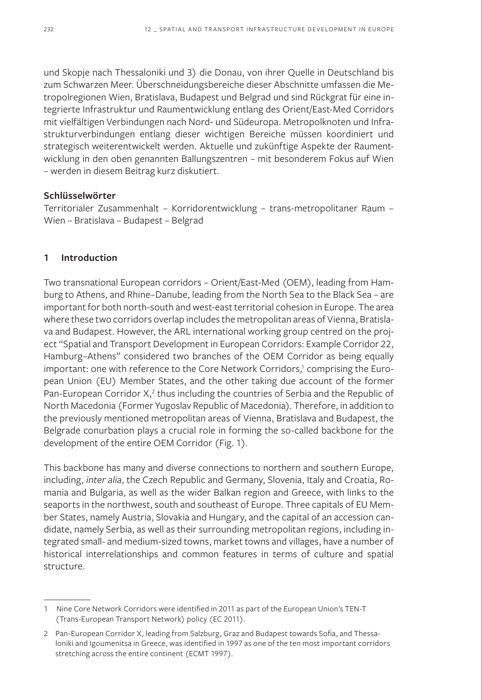und Skopje nach Thessaloniki und 3) die Donau, von ihrer Quelle in Deutschland bis zum Schwarzen Meer. Überschneidungsbereiche dieser Abschnitte umfassen die Metropolregionen Wien, Bratislava, Budapest und Belgrad und sind Rückgrat für eine integrierte Infrastruktur und Raumentwicklung entlang des Orient/East-Med Corridors mit vielfältigen Verbindungen nach Nord- und Südeuropa. Metropolknoten und Infrastrukturverbindungen entlang dieser wichtigen Bereiche müssen koordiniert und strategisch weiterentwickelt werden. Aktuelle und zukünftige Aspekte der Raumentwicklung in den oben genannten Ballungszentren – mit besonderem Fokus auf Wien – werden in diesem Beitrag kurz diskutiert.

#### **Schlüsselwörter**

Territorialer Zusammenhalt – Korridorentwicklung – trans-metropolitaner Raum – Wien – Bratislava – Budapest – Belgrad

#### **1 Introduction**

Two transnational European corridors – Orient/East-Med (OEM), leading from Hamburg to Athens, and Rhine–Danube, leading from the North Sea to the Black Sea – are important for both north-south and west-east territorial cohesion in Europe. The area where these two corridors overlap includes the metropolitan areas of Vienna, Bratislava and Budapest. However, the ARL international working group centred on the project "Spatial and Transport Development in European Corridors: Example Corridor 22, Hamburg–Athens" considered two branches of the OEM Corridor as being equally important: one with reference to the Core Network Corridors,<sup>1</sup> comprising the European Union (EU) Member States, and the other taking due account of the former Pan-European Corridor  $X^2$ , thus including the countries of Serbia and the Republic of North Macedonia (Former Yugoslav Republic of Macedonia). Therefore, in addition to the previously mentioned metropolitan areas of Vienna, Bratislava and Budapest, the Belgrade conurbation plays a crucial role in forming the so-called backbone for the development of the entire OEM Corridor (Fig. 1).

This backbone has many and diverse connections to northern and southern Europe, including, *inter alia*, the Czech Republic and Germany, Slovenia, Italy and Croatia, Romania and Bulgaria, as well as the wider Balkan region and Greece, with links to the seaports in the northwest, south and southeast of Europe. Three capitals of EU Member States, namely Austria, Slovakia and Hungary, and the capital of an accession candidate, namely Serbia, as well as their surrounding metropolitan regions, including integrated small- and medium-sized towns, market towns and villages, have a number of historical interrelationships and common features in terms of culture and spatial structure.

<sup>1</sup> Nine Core Network Corridors were identified in 2011 as part of the European Union's TEN-T (Trans-European Transport Network) policy (EC 2011).

<sup>2</sup> Pan-European Corridor X, leading from Salzburg, Graz and Budapest towards Sofia, and Thessaloniki and Igoumenitsa in Greece, was identified in 1997 as one of the ten most important corridors stretching across the entire continent (ECMT 1997).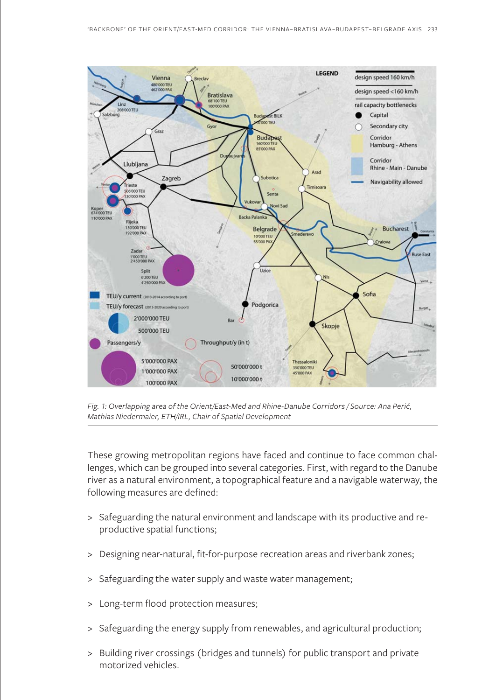

*Fig. 1: Overlapping area of the Orient/East-Med and Rhine-Danube Corridors / Source: Ana Perić, Mathias Niedermaier, ETH/IRL, Chair of Spatial Development*

These growing metropolitan regions have faced and continue to face common challenges, which can be grouped into several categories. First, with regard to the Danube river as a natural environment, a topographical feature and a navigable waterway, the following measures are defined:

- > Safeguarding the natural environment and landscape with its productive and reproductive spatial functions;
- > Designing near-natural, fit-for-purpose recreation areas and riverbank zones;
- > Safeguarding the water supply and waste water management;
- > Long-term flood protection measures;
- > Safeguarding the energy supply from renewables, and agricultural production;
- > Building river crossings (bridges and tunnels) for public transport and private motorized vehicles.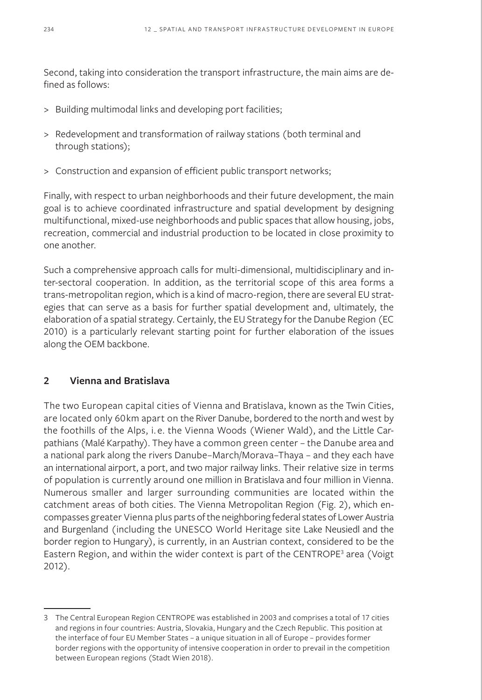Second, taking into consideration the transport infrastructure, the main aims are defined as follows:

- > Building multimodal links and developing port facilities;
- > Redevelopment and transformation of railway stations (both terminal and through stations);
- > Construction and expansion of efficient public transport networks;

Finally, with respect to urban neighborhoods and their future development, the main goal is to achieve coordinated infrastructure and spatial development by designing multifunctional, mixed-use neighborhoods and public spaces that allow housing, jobs, recreation, commercial and industrial production to be located in close proximity to one another.

Such a comprehensive approach calls for multi-dimensional, multidisciplinary and inter-sectoral cooperation. In addition, as the territorial scope of this area forms a trans-metropolitan region, which is a kind of macro-region, there are several EU strategies that can serve as a basis for further spatial development and, ultimately, the elaboration of a spatial strategy. Certainly, the EU Strategy for the Danube Region (EC 2010) is a particularly relevant starting point for further elaboration of the issues along the OEM backbone.

# **2 Vienna and Bratislava**

The two European capital cities of Vienna and Bratislava, known as the Twin Cities, are located only 60km apart on the River Danube, bordered to the north and west by the foothills of the Alps, i. e. the Vienna Woods (Wiener Wald), and the Little Carpathians (Malé Karpathy). They have a common green center – the Danube area and a national park along the rivers Danube–March/Morava–Thaya – and they each have an international airport, a port, and two major railway links. Their relative size in terms of population is currently around one million in Bratislava and four million in Vienna. Numerous smaller and larger surrounding communities are located within the catchment areas of both cities. The Vienna Metropolitan Region (Fig. 2), which encompasses greater Vienna plus parts of the neighboring federal states of Lower Austria and Burgenland (including the UNESCO World Heritage site Lake Neusiedl and the border region to Hungary), is currently, in an Austrian context, considered to be the Eastern Region, and within the wider context is part of the CENTROPE<sup>3</sup> area (Voigt 2012).

<sup>3</sup> The Central European Region CENTROPE was established in 2003 and comprises a total of 17 cities and regions in four countries: Austria, Slovakia, Hungary and the Czech Republic. This position at the interface of four EU Member States – a unique situation in all of Europe – provides former border regions with the opportunity of intensive cooperation in order to prevail in the competition between European regions (Stadt Wien 2018).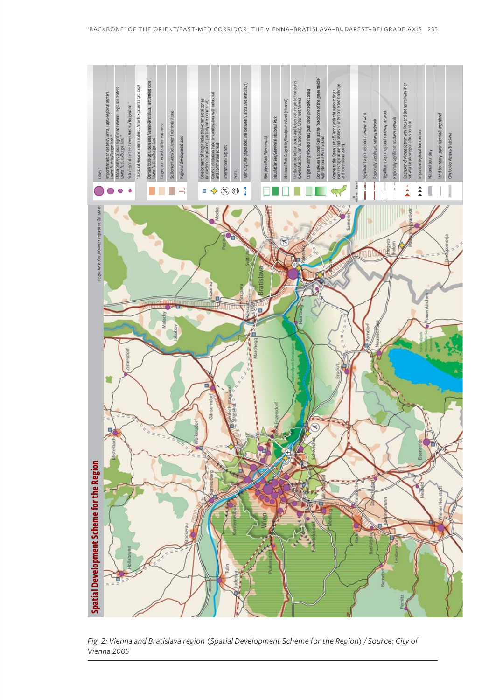

*Fig. 2: Vienna and Bratislava region (Spatial Development Scheme for the Region) / Source: City of*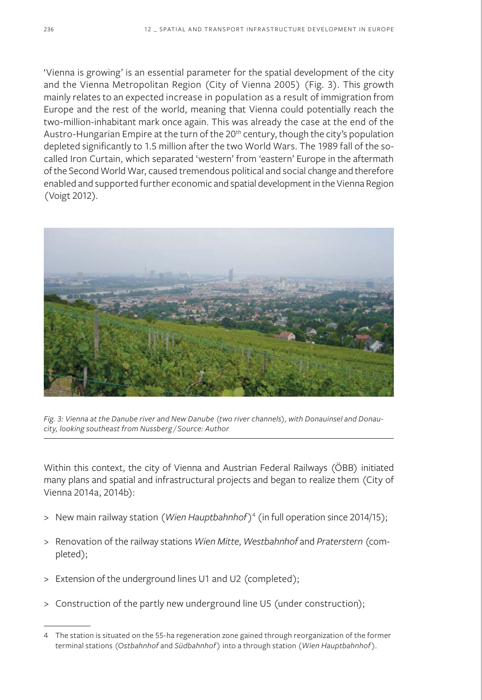'Vienna is growing' is an essential parameter for the spatial development of the city and the Vienna Metropolitan Region (City of Vienna 2005) (Fig. 3). This growth mainly relates to an expected increase in population as a result of immigration from Europe and the rest of the world, meaning that Vienna could potentially reach the two-million-inhabitant mark once again. This was already the case at the end of the Austro-Hungarian Empire at the turn of the 20<sup>th</sup> century, though the city's population depleted significantly to 1.5 million after the two World Wars. The 1989 fall of the socalled Iron Curtain, which separated 'western' from 'eastern' Europe in the aftermath of the Second World War, caused tremendous political and social change and therefore enabled and supported further economic and spatial development in the Vienna Region (Voigt 2012).



*Fig. 3: Vienna at the Danube river and New Danube (two river channels), with Donauinsel and Donaucity, looking southeast from Nussberg / Source: Author*

Within this context, the city of Vienna and Austrian Federal Railways (ÖBB) initiated many plans and spatial and infrastructural projects and began to realize them (City of Vienna 2014a, 2014b):

- > New main railway station (*Wien Hauptbahnhof*)4 (in full operation since 2014/15);
- > Renovation of the railway stations *Wien Mitte*, *Westbahnhof* and *Praterstern* (completed);
- > Extension of the underground lines U1 and U2 (completed);
- > Construction of the partly new underground line U5 (under construction);

<sup>4</sup> The station is situated on the 55-ha regeneration zone gained through reorganization of the former terminal stations (*Ostbahnhof* and *Südbahnhof*) into a through station (*Wien Hauptbahnhof*).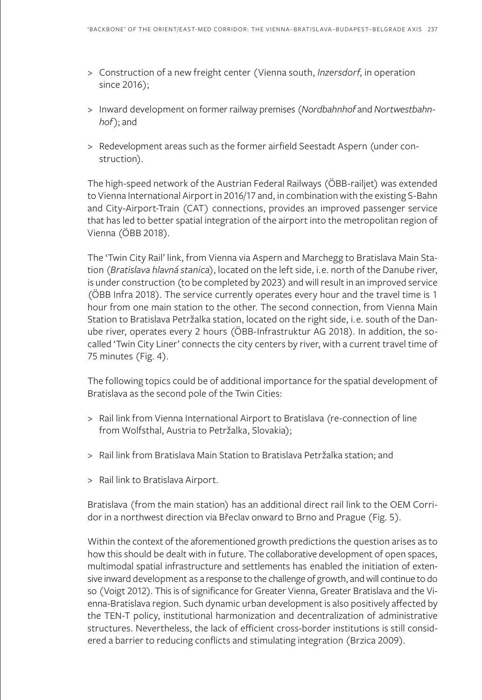- > Construction of a new freight center (Vienna south, *Inzersdorf*, in operation since 2016);
- > Inward development on former railway premises (*Nordbahnhof* and *Nortwestbahnhof*); and
- > Redevelopment areas such as the former airfield Seestadt Aspern (under construction).

The high-speed network of the Austrian Federal Railways (ÖBB-railjet) was extended to Vienna International Airport in 2016/17 and, in combination with the existing S-Bahn and City-Airport-Train (CAT) connections, provides an improved passenger service that has led to better spatial integration of the airport into the metropolitan region of Vienna (ÖBB 2018).

The 'Twin City Rail' link, from Vienna via Aspern and Marchegg to Bratislava Main Station (*Bratislava hlavná stanica*), located on the left side, i.e. north of the Danube river, is under construction (to be completed by 2023) and will result in an improved service (ÖBB Infra 2018). The service currently operates every hour and the travel time is 1 hour from one main station to the other. The second connection, from Vienna Main Station to Bratislava Petržalka station, located on the right side, i.e. south of the Danube river, operates every 2 hours (ÖBB-Infrastruktur AG 2018). In addition, the socalled 'Twin City Liner' connects the city centers by river, with a current travel time of 75 minutes (Fig. 4).

The following topics could be of additional importance for the spatial development of Bratislava as the second pole of the Twin Cities:

- > Rail link from Vienna International Airport to Bratislava (re-connection of line from Wolfsthal, Austria to Petržalka, Slovakia);
- > Rail link from Bratislava Main Station to Bratislava Petržalka station; and
- > Rail link to Bratislava Airport.

Bratislava (from the main station) has an additional direct rail link to the OEM Corridor in a northwest direction via Břeclav onward to Brno and Prague (Fig. 5).

Within the context of the aforementioned growth predictions the question arises as to how this should be dealt with in future. The collaborative development of open spaces, multimodal spatial infrastructure and settlements has enabled the initiation of extensive inward development as a response to the challenge of growth, and will continue to do so (Voigt 2012). This is of significance for Greater Vienna, Greater Bratislava and the Vienna-Bratislava region. Such dynamic urban development is also positively affected by the TEN-T policy, institutional harmonization and decentralization of administrative structures. Nevertheless, the lack of efficient cross-border institutions is still considered a barrier to reducing conflicts and stimulating integration (Brzica 2009).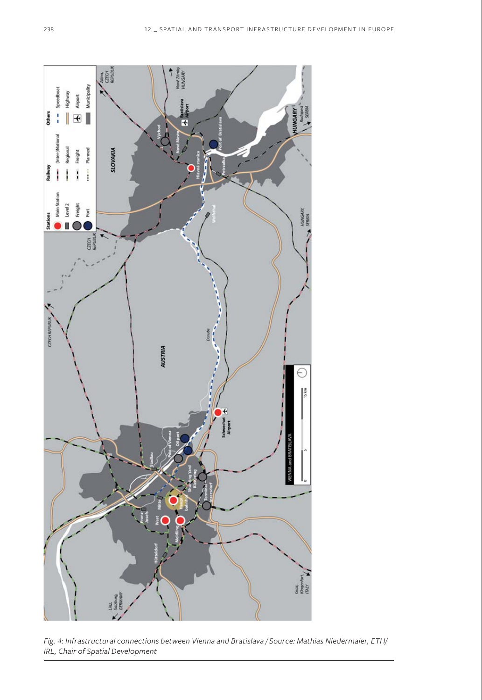

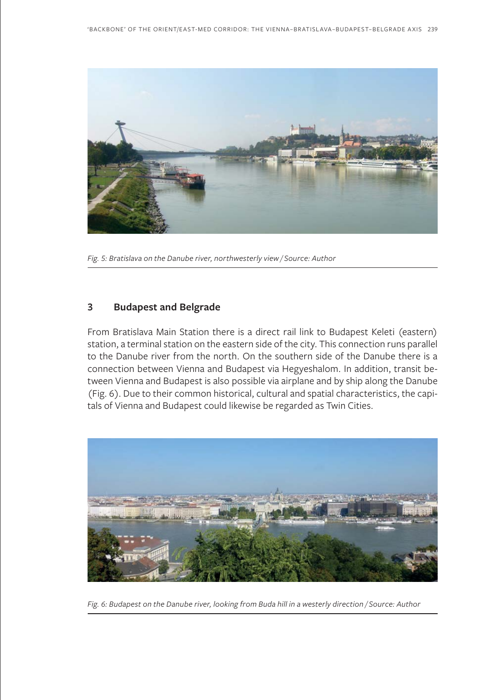

*Fig. 5: Bratislava on the Danube river, northwesterly view / Source: Author*

#### **3 Budapest and Belgrade**

From Bratislava Main Station there is a direct rail link to Budapest Keleti (eastern) station, a terminal station on the eastern side of the city. This connection runs parallel to the Danube river from the north. On the southern side of the Danube there is a connection between Vienna and Budapest via Hegyeshalom. In addition, transit between Vienna and Budapest is also possible via airplane and by ship along the Danube (Fig. 6). Due to their common historical, cultural and spatial characteristics, the capitals of Vienna and Budapest could likewise be regarded as Twin Cities.



*Fig. 6: Budapest on the Danube river, looking from Buda hill in a westerly direction / Source: Author*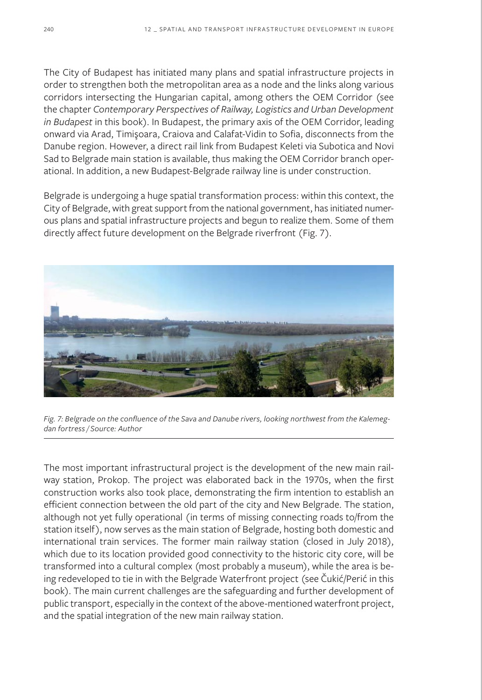The City of Budapest has initiated many plans and spatial infrastructure projects in order to strengthen both the metropolitan area as a node and the links along various corridors intersecting the Hungarian capital, among others the OEM Corridor (see the chapter *Contemporary Perspectives of Railway, Logistics and Urban Development in Budapest* in this book). In Budapest, the primary axis of the OEM Corridor, leading onward via Arad, Timişoara, Craiova and Calafat-Vidin to Sofia, disconnects from the Danube region. However, a direct rail link from Budapest Keleti via Subotica and Novi Sad to Belgrade main station is available, thus making the OEM Corridor branch operational. In addition, a new Budapest-Belgrade railway line is under construction.

Belgrade is undergoing a huge spatial transformation process: within this context, the City of Belgrade, with great support from the national government, has initiated numerous plans and spatial infrastructure projects and begun to realize them. Some of them directly affect future development on the Belgrade riverfront (Fig. 7).



*Fig. 7: Belgrade on the confluence of the Sava and Danube rivers, looking northwest from the Kalemegdan fortress / Source: Author*

The most important infrastructural project is the development of the new main railway station, Prokop. The project was elaborated back in the 1970s, when the first construction works also took place, demonstrating the firm intention to establish an efficient connection between the old part of the city and New Belgrade. The station, although not yet fully operational (in terms of missing connecting roads to/from the station itself), now serves as the main station of Belgrade, hosting both domestic and international train services. The former main railway station (closed in July 2018), which due to its location provided good connectivity to the historic city core, will be transformed into a cultural complex (most probably a museum), while the area is being redeveloped to tie in with the Belgrade Waterfront project (see Čukić/Perić in this book). The main current challenges are the safeguarding and further development of public transport, especially in the context of the above-mentioned waterfront project, and the spatial integration of the new main railway station.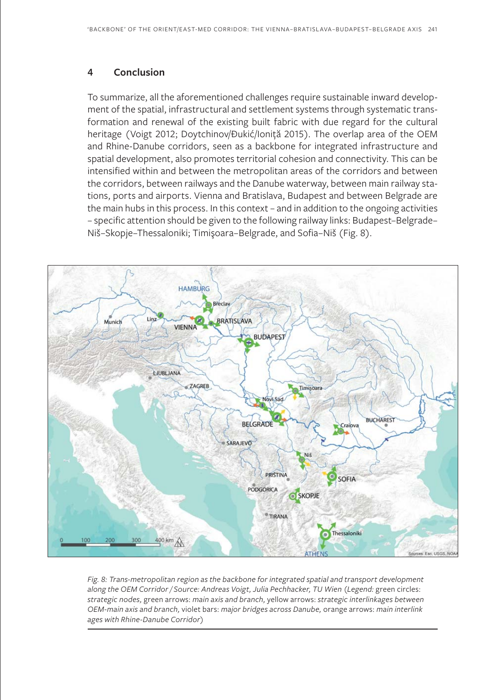## **4 Conclusion**

To summarize, all the aforementioned challenges require sustainable inward development of the spatial, infrastructural and settlement systems through systematic transformation and renewal of the existing built fabric with due regard for the cultural heritage (Voigt 2012; Doytchinov/Ðukić/Ioniță 2015). The overlap area of the OEM and Rhine-Danube corridors, seen as a backbone for integrated infrastructure and spatial development, also promotes territorial cohesion and connectivity. This can be intensified within and between the metropolitan areas of the corridors and between the corridors, between railways and the Danube waterway, between main railway stations, ports and airports. Vienna and Bratislava, Budapest and between Belgrade are the main hubs in this process. In this context – and in addition to the ongoing activities – specific attention should be given to the following railway links: Budapest–Belgrade– Niš–Skopje–Thessaloniki; Timişoara–Belgrade, and Sofia–Niš (Fig. 8).



*Fig. 8: Trans-metropolitan region as the backbone for integrated spatial and transport development along the OEM Corridor / Source: Andreas Voigt, Julia Pechhacker, TU Wien (Legend:* green circles: *strategic nodes,* green arrows: *main axis and branch,* yellow arrows: *strategic interlinkages between OEM-main axis and branch,* violet bars: *major bridges across Danube,* orange arrows: *main interlink ages with Rhine-Danube Corridor)*